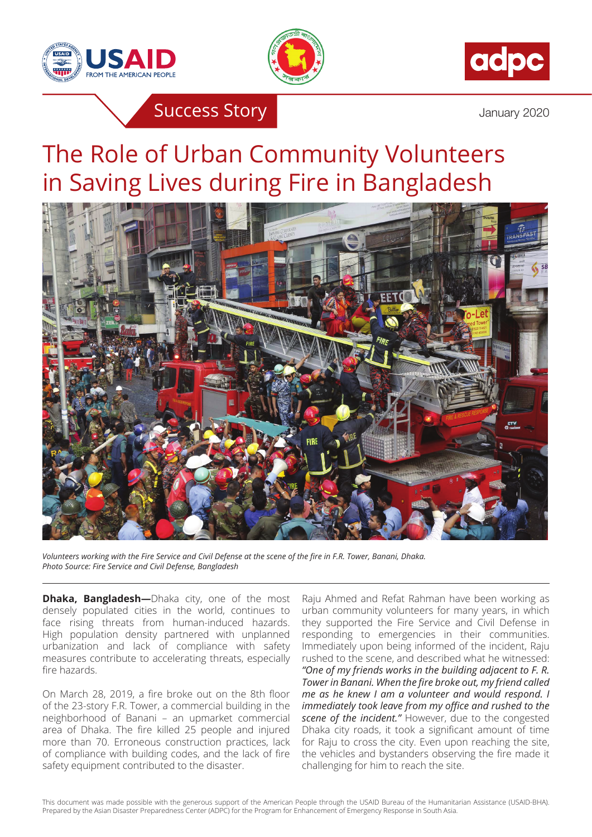





**Success Story Success Story** 

## The Role of Urban Community Volunteers in Saving Lives during Fire in Bangladesh



*Volunteers working with the Fire Service and Civil Defense at the scene of the fire in F.R. Tower, Banani, Dhaka. Photo Source: Fire Service and Civil Defense, Bangladesh*

**Dhaka, Bangladesh**—Dhaka city, one of the most densely populated cities in the world, continues to face rising threats from human-induced hazards. High population density partnered with unplanned urbanization and lack of compliance with safety measures contribute to accelerating threats, especially fire hazards.

On March 28, 2019, a fire broke out on the 8th floor of the 23-story F.R. Tower, a commercial building in the neighborhood of Banani – an upmarket commercial area of Dhaka. The fire killed 25 people and injured more than 70. Erroneous construction practices, lack of compliance with building codes, and the lack of fire safety equipment contributed to the disaster.

Raju Ahmed and Refat Rahman have been working as urban community volunteers for many years, in which they supported the Fire Service and Civil Defense in responding to emergencies in their communities. Immediately upon being informed of the incident, Raju rushed to the scene, and described what he witnessed: *"One of my friends works in the building adjacent to F. R. Tower in Banani. When the fire broke out, my friend called me as he knew I am a volunteer and would respond. I immediately took leave from my office and rushed to the scene of the incident."* However, due to the congested Dhaka city roads, it took a significant amount of time for Raju to cross the city. Even upon reaching the site, the vehicles and bystanders observing the fire made it challenging for him to reach the site.